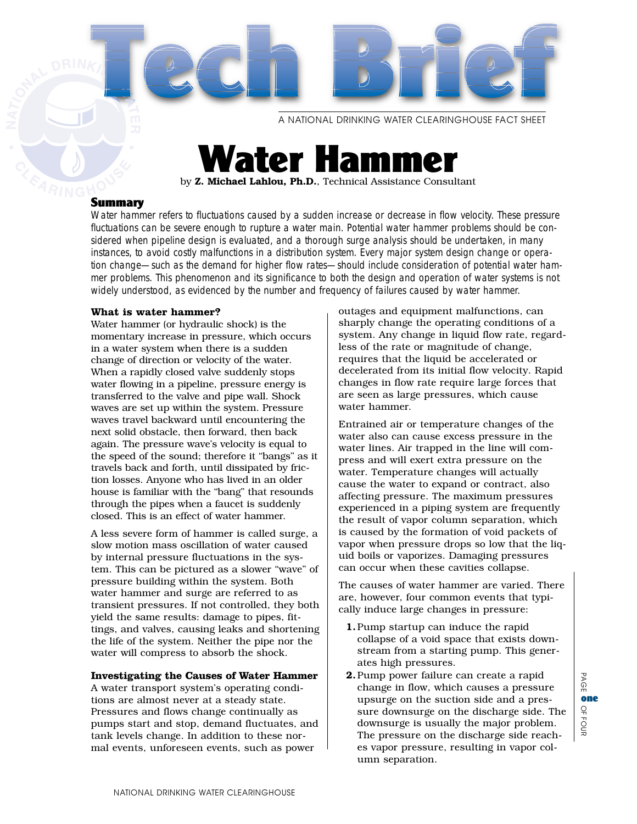A NATIONAL DRINKING WATER CLEARINGHOUSE FACT SHEET

# **ater Ha**n

by **Z. Michael Lahlou, Ph.D.**, Technical Assistance Consultant

# Summary

*Water hammer refers to fluctuations caused by a sudden increase or decrease in flow velocity. These pressure fluctuations can be severe enough to rupture a water main. Potential water hammer problems should be considered when pipeline design is evaluated, and a thorough surge analysis should be undertaken, in many instances, to avoid costly malfunctions in a distribution system. Every major system design change or operation change—such as the demand for higher flow rates—should include consideration of potential water hammer problems. This phenomenon and its significance to both the design and operation of water systems is not widely understood, as evidenced by the number and frequency of failures caused by water hammer.*

# **What is water hammer?**

Water hammer (or hydraulic shock) is the momentary increase in pressure, which occurs in a water system when there is a sudden change of direction or velocity of the water. When a rapidly closed valve suddenly stops water flowing in a pipeline, pressure energy is transferred to the valve and pipe wall. Shock waves are set up within the system. Pressure waves travel backward until encountering the next solid obstacle, then forward, then back again. The pressure wave's velocity is equal to the speed of the sound; therefore it "bangs" as it travels back and forth, until dissipated by friction losses. Anyone who has lived in an older house is familiar with the "bang" that resounds through the pipes when a faucet is suddenly closed. This is an effect of water hammer.

A less severe form of hammer is called surge, a slow motion mass oscillation of water caused by internal pressure fluctuations in the system. This can be pictured as a slower "wave" of pressure building within the system. Both water hammer and surge are referred to as transient pressures. If not controlled, they both yield the same results: damage to pipes, fittings, and valves, causing leaks and shortening the life of the system. Neither the pipe nor the water will compress to absorb the shock.

# **Investigating the Causes of Water Hammer**

A water transport system's operating conditions are almost never at a steady state. Pressures and flows change continually as pumps start and stop, demand fluctuates, and tank levels change. In addition to these normal events, unforeseen events, such as power

outages and equipment malfunctions, can sharply change the operating conditions of a system. Any change in liquid flow rate, regardless of the rate or magnitude of change, requires that the liquid be accelerated or decelerated from its initial flow velocity. Rapid changes in flow rate require large forces that are seen as large pressures, which cause water hammer.

Entrained air or temperature changes of the water also can cause excess pressure in the water lines. Air trapped in the line will compress and will exert extra pressure on the water. Temperature changes will actually cause the water to expand or contract, also affecting pressure. The maximum pressures experienced in a piping system are frequently the result of vapor column separation, which is caused by the formation of void packets of vapor when pressure drops so low that the liquid boils or vaporizes. Damaging pressures can occur when these cavities collapse.

The causes of water hammer are varied. There are, however, four common events that typically induce large changes in pressure:

- **1.**Pump startup can induce the rapid collapse of a void space that exists downstream from a starting pump. This generates high pressures.
- **2.**Pump power failure can create a rapid change in flow, which causes a pressure upsurge on the suction side and a pressure downsurge on the discharge side. The downsurge is usually the major problem. The pressure on the discharge side reaches vapor pressure, resulting in vapor column separation.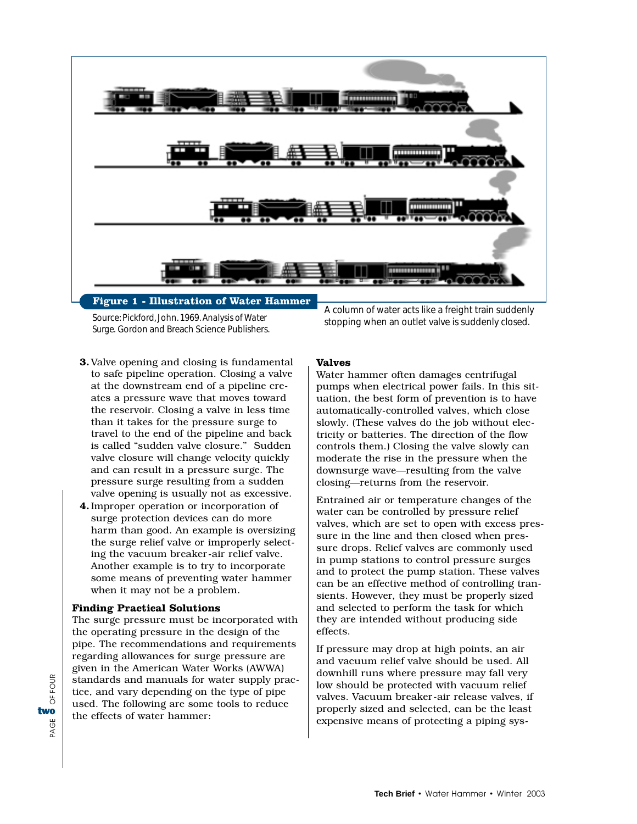

Source: Pickford, John. 1969. *Analysis of Water Surge.* Gordon and Breach Science Publishers.

- **3.**Valve opening and closing is fundamental to safe pipeline operation. Closing a valve at the downstream end of a pipeline creates a pressure wave that moves toward the reservoir. Closing a valve in less time than it takes for the pressure surge to travel to the end of the pipeline and back is called "sudden valve closure." Sudden valve closure will change velocity quickly and can result in a pressure surge. The pressure surge resulting from a sudden valve opening is usually not as excessive.
- **4.**Improper operation or incorporation of surge protection devices can do more harm than good. An example is oversizing the surge relief valve or improperly selecting the vacuum breaker-air relief valve. Another example is to try to incorporate some means of preventing water hammer when it may not be a problem.

#### **Finding Practical Solutions**

The surge pressure must be incorporated with the operating pressure in the design of the pipe. The recommendations and requirements regarding allowances for surge pressure are given in the American Water Works (AWWA) standards and manuals for water supply practice, and vary depending on the type of pipe used. The following are some tools to reduce the effects of water hammer:

A column of water acts like a freight train suddenly stopping when an outlet valve is suddenly closed.

#### **Valves**

Water hammer often damages centrifugal pumps when electrical power fails. In this situation, the best form of prevention is to have automatically-controlled valves, which close slowly. (These valves do the job without electricity or batteries. The direction of the flow controls them.) Closing the valve slowly can moderate the rise in the pressure when the downsurge wave—resulting from the valve closing—returns from the reservoir.

Entrained air or temperature changes of the water can be controlled by pressure relief valves, which are set to open with excess pressure in the line and then closed when pressure drops. Relief valves are commonly used in pump stations to control pressure surges and to protect the pump station. These valves can be an effective method of controlling transients. However, they must be properly sized and selected to perform the task for which they are intended without producing side effects.

If pressure may drop at high points, an air and vacuum relief valve should be used. All downhill runs where pressure may fall very low should be protected with vacuum relief valves. Vacuum breaker-air release valves, if properly sized and selected, can be the least expensive means of protecting a piping sys-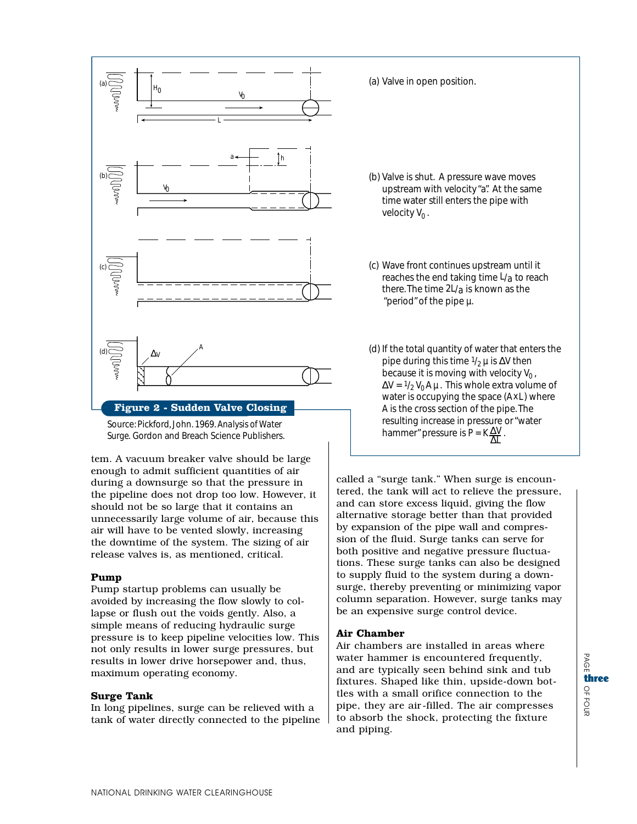

Source: Pickford, John. 1969. *Analysis of Water Surge.* Gordon and Breach Science Publishers.

tem. A vacuum breaker valve should be large enough to admit sufficient quantities of air during a downsurge so that the pressure in the pipeline does not drop too low. However, it should not be so large that it contains an unnecessarily large volume of air, because this air will have to be vented slowly, increasing the downtime of the system. The sizing of air release valves is, as mentioned, critical.

# **Pump**

Pump startup problems can usually be avoided by increasing the flow slowly to collapse or flush out the voids gently. Also, a simple means of reducing hydraulic surge pressure is to keep pipeline velocities low. This not only results in lower surge pressures, but results in lower drive horsepower and, thus, maximum operating economy.

# **Surge Tank**

In long pipelines, surge can be relieved with a tank of water directly connected to the pipeline (a) Valve in open position.

- (b) Valve is shut. A pressure wave moves upstream with velocity "a". At the same time water still enters the pipe with velocity  $V_0$ .
- (c) Wave front continues upstream until it reaches the end taking time *L/a* to reach there. The time 2*L/a* is known as the "period" of the pipe *µ*.
- (d) If the total quantity of water that enters the pipe during this time 1/2 *µ* is ∆*V* then because it is moving with velocity  $V_{0}$ ,  $\Delta V = \frac{1}{2} V_0 A \mu$ . This whole extra volume of water is occupying the space (*AxL*) where *A* is the cross section of the pipe. The resulting increase in pressure or "water hammer" pressure is  $P = K \Delta V$ .

called a "surge tank." When surge is encountered, the tank will act to relieve the pressure, and can store excess liquid, giving the flow alternative storage better than that provided by expansion of the pipe wall and compression of the fluid. Surge tanks can serve for both positive and negative pressure fluctuations. These surge tanks can also be designed to supply fluid to the system during a downsurge, thereby preventing or minimizing vapor column separation. However, surge tanks may be an expensive surge control device.

# **Air Chamber**

Air chambers are installed in areas where water hammer is encountered frequently, and are typically seen behind sink and tub fixtures. Shaped like thin, upside-down bottles with a small orifice connection to the pipe, they are air-filled. The air compresses to absorb the shock, protecting the fixture and piping.